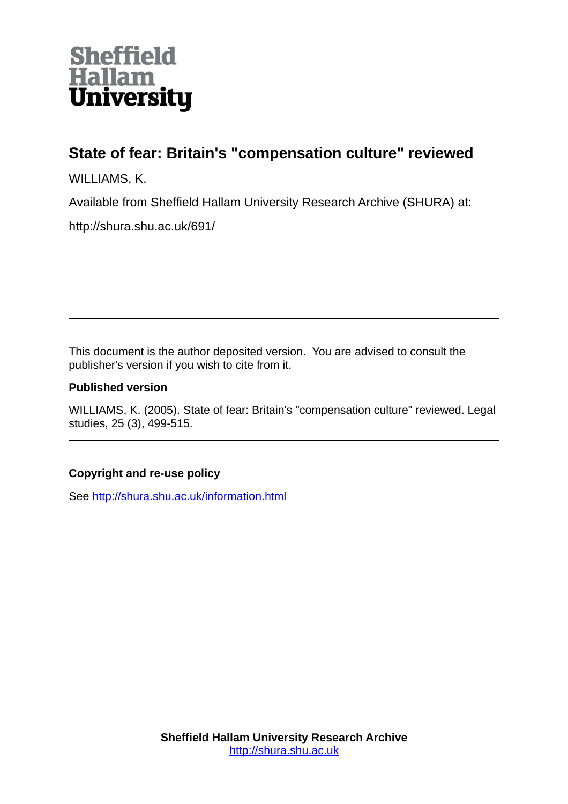

# **State of fear: Britain's "compensation culture" reviewed**

WILLIAMS, K.

Available from Sheffield Hallam University Research Archive (SHURA) at:

http://shura.shu.ac.uk/691/

This document is the author deposited version. You are advised to consult the publisher's version if you wish to cite from it.

# **Published version**

WILLIAMS, K. (2005). State of fear: Britain's "compensation culture" reviewed. Legal studies, 25 (3), 499-515.

# **Copyright and re-use policy**

See<http://shura.shu.ac.uk/information.html>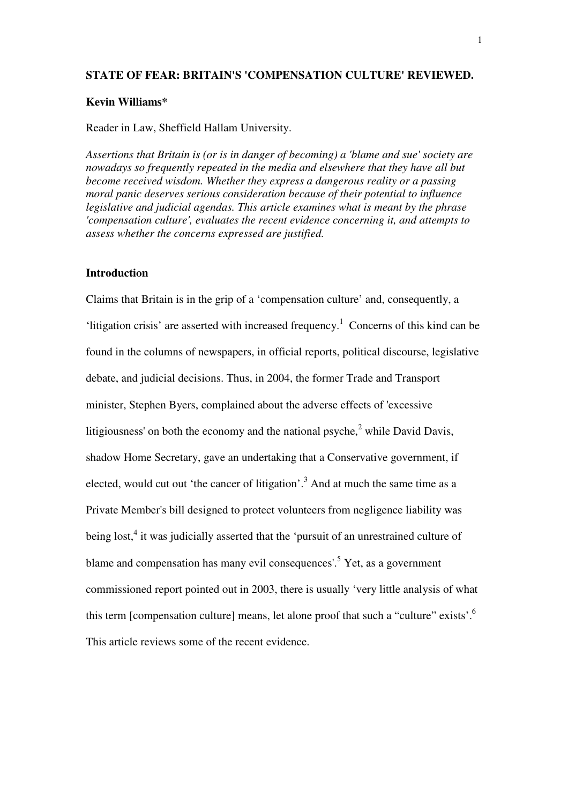### **STATE OF FEAR: BRITAIN'S 'COMPENSATION CULTURE' REVIEWED.**

# **Kevin Williams\***

#### Reader in Law, Sheffield Hallam University.

*Assertions that Britain is (or is in danger of becoming) a 'blame and sue' society are nowadays so frequently repeated in the media and elsewhere that they have all but become received wisdom. Whether they express a dangerous reality or a passing moral panic deserves serious consideration because of their potential to influence legislative and judicial agendas. This article examines what is meant by the phrase 'compensation culture', evaluates the recent evidence concerning it, and attempts to assess whether the concerns expressed are justified.* 

# **Introduction**

Claims that Britain is in the grip of a 'compensation culture' and, consequently, a 'litigation crisis' are asserted with increased frequency.<sup>1</sup> Concerns of this kind can be found in the columns of newspapers, in official reports, political discourse, legislative debate, and judicial decisions. Thus, in 2004, the former Trade and Transport minister, Stephen Byers, complained about the adverse effects of 'excessive litigiousness' on both the economy and the national psyche, $2$  while David Davis, shadow Home Secretary, gave an undertaking that a Conservative government, if elected, would cut out 'the cancer of litigation'.<sup>3</sup> And at much the same time as a Private Member's bill designed to protect volunteers from negligence liability was being lost,<sup>4</sup> it was judicially asserted that the 'pursuit of an unrestrained culture of blame and compensation has many evil consequences'.<sup>5</sup> Yet, as a government commissioned report pointed out in 2003, there is usually 'very little analysis of what this term [compensation culture] means, let alone proof that such a "culture" exists'.<sup>6</sup> This article reviews some of the recent evidence.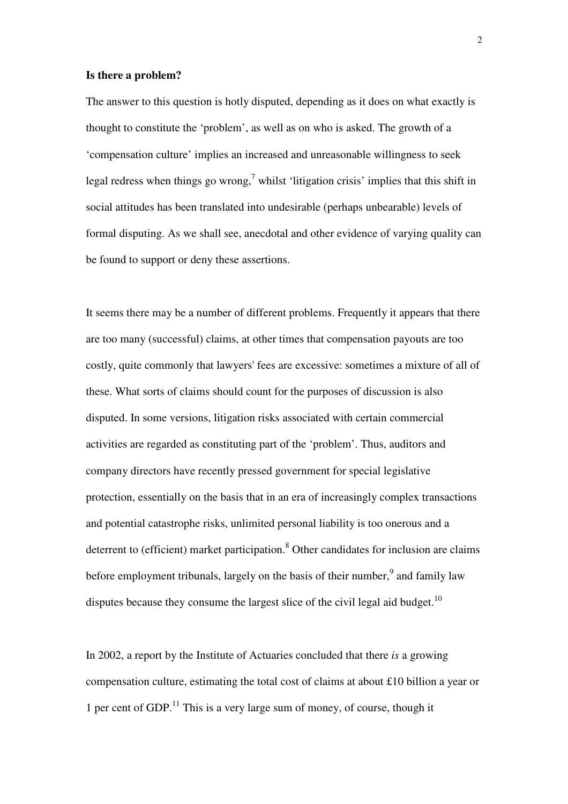#### **Is there a problem?**

The answer to this question is hotly disputed, depending as it does on what exactly is thought to constitute the 'problem', as well as on who is asked. The growth of a 'compensation culture' implies an increased and unreasonable willingness to seek legal redress when things go wrong,<sup>7</sup> whilst 'litigation crisis' implies that this shift in social attitudes has been translated into undesirable (perhaps unbearable) levels of formal disputing. As we shall see, anecdotal and other evidence of varying quality can be found to support or deny these assertions.

It seems there may be a number of different problems. Frequently it appears that there are too many (successful) claims, at other times that compensation payouts are too costly, quite commonly that lawyers' fees are excessive: sometimes a mixture of all of these. What sorts of claims should count for the purposes of discussion is also disputed. In some versions, litigation risks associated with certain commercial activities are regarded as constituting part of the 'problem'. Thus, auditors and company directors have recently pressed government for special legislative protection, essentially on the basis that in an era of increasingly complex transactions and potential catastrophe risks, unlimited personal liability is too onerous and a deterrent to (efficient) market participation.<sup>8</sup> Other candidates for inclusion are claims before employment tribunals, largely on the basis of their number,<sup>9</sup> and family law disputes because they consume the largest slice of the civil legal aid budget.<sup>10</sup>

In 2002, a report by the Institute of Actuaries concluded that there *is* a growing compensation culture, estimating the total cost of claims at about £10 billion a year or 1 per cent of GDP.<sup>11</sup> This is a very large sum of money, of course, though it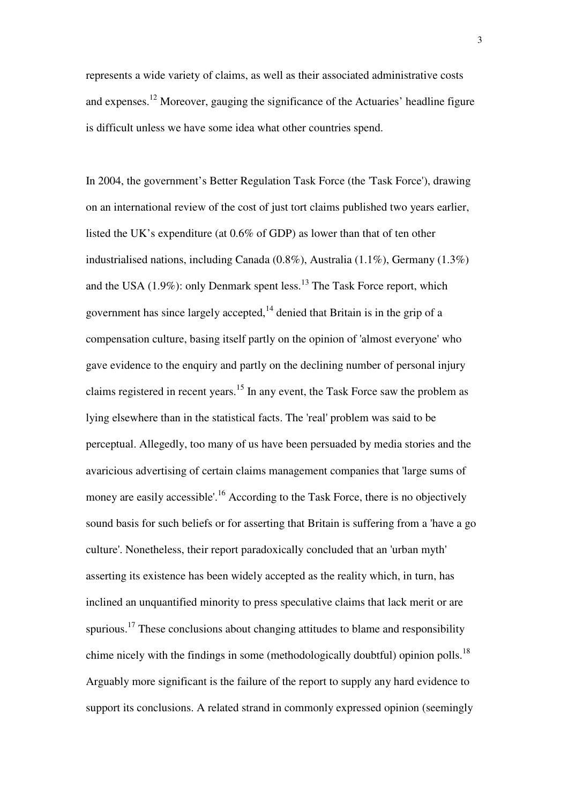represents a wide variety of claims, as well as their associated administrative costs and expenses.<sup>12</sup> Moreover, gauging the significance of the Actuaries' headline figure is difficult unless we have some idea what other countries spend.

In 2004, the government's Better Regulation Task Force (the 'Task Force'), drawing on an international review of the cost of just tort claims published two years earlier, listed the UK's expenditure (at 0.6% of GDP) as lower than that of ten other industrialised nations, including Canada (0.8%), Australia (1.1%), Germany (1.3%) and the USA (1.9%): only Denmark spent less.<sup>13</sup> The Task Force report, which government has since largely accepted,  $14$  denied that Britain is in the grip of a compensation culture, basing itself partly on the opinion of 'almost everyone' who gave evidence to the enquiry and partly on the declining number of personal injury claims registered in recent years.<sup>15</sup> In any event, the Task Force saw the problem as lying elsewhere than in the statistical facts. The 'real' problem was said to be perceptual. Allegedly, too many of us have been persuaded by media stories and the avaricious advertising of certain claims management companies that 'large sums of money are easily accessible'.<sup>16</sup> According to the Task Force, there is no objectively sound basis for such beliefs or for asserting that Britain is suffering from a 'have a go culture'. Nonetheless, their report paradoxically concluded that an 'urban myth' asserting its existence has been widely accepted as the reality which, in turn, has inclined an unquantified minority to press speculative claims that lack merit or are spurious.<sup>17</sup> These conclusions about changing attitudes to blame and responsibility chime nicely with the findings in some (methodologically doubtful) opinion polls.<sup>18</sup> Arguably more significant is the failure of the report to supply any hard evidence to support its conclusions. A related strand in commonly expressed opinion (seemingly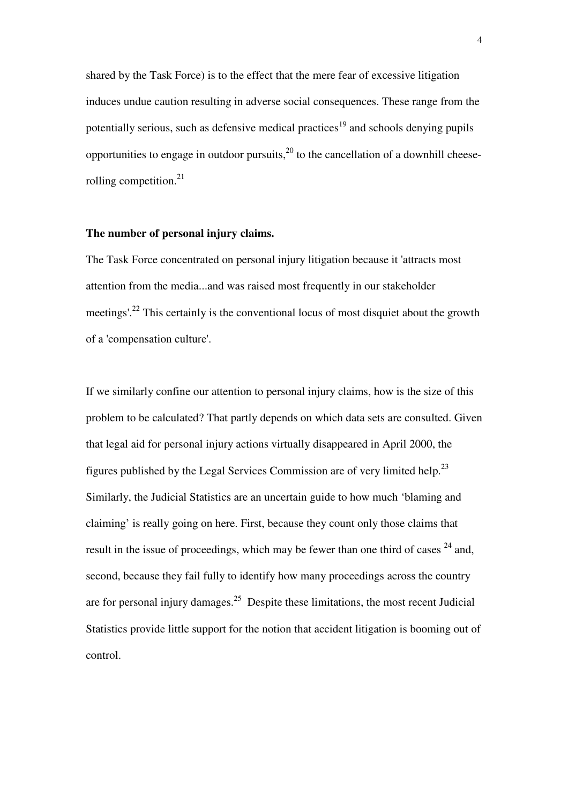shared by the Task Force) is to the effect that the mere fear of excessive litigation induces undue caution resulting in adverse social consequences. These range from the potentially serious, such as defensive medical practices<sup>19</sup> and schools denying pupils opportunities to engage in outdoor pursuits,<sup>20</sup> to the cancellation of a downhill cheeserolling competition.<sup>21</sup>

# **The number of personal injury claims.**

The Task Force concentrated on personal injury litigation because it 'attracts most attention from the media...and was raised most frequently in our stakeholder meetings'.<sup>22</sup> This certainly is the conventional locus of most disquiet about the growth of a 'compensation culture'.

If we similarly confine our attention to personal injury claims, how is the size of this problem to be calculated? That partly depends on which data sets are consulted. Given that legal aid for personal injury actions virtually disappeared in April 2000, the figures published by the Legal Services Commission are of very limited help.<sup>23</sup> Similarly, the Judicial Statistics are an uncertain guide to how much 'blaming and claiming' is really going on here. First, because they count only those claims that result in the issue of proceedings, which may be fewer than one third of cases  $24$  and, second, because they fail fully to identify how many proceedings across the country are for personal injury damages.<sup>25</sup> Despite these limitations, the most recent Judicial Statistics provide little support for the notion that accident litigation is booming out of control.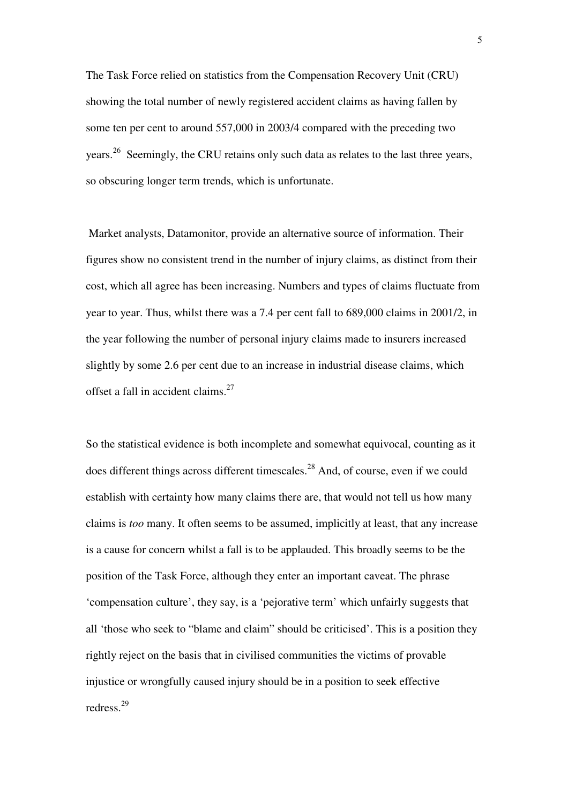The Task Force relied on statistics from the Compensation Recovery Unit (CRU) showing the total number of newly registered accident claims as having fallen by some ten per cent to around 557,000 in 2003/4 compared with the preceding two years.<sup>26</sup> Seemingly, the CRU retains only such data as relates to the last three years, so obscuring longer term trends, which is unfortunate.

 Market analysts, Datamonitor, provide an alternative source of information. Their figures show no consistent trend in the number of injury claims, as distinct from their cost, which all agree has been increasing. Numbers and types of claims fluctuate from year to year. Thus, whilst there was a 7.4 per cent fall to 689,000 claims in 2001/2, in the year following the number of personal injury claims made to insurers increased slightly by some 2.6 per cent due to an increase in industrial disease claims, which offset a fall in accident claims.<sup>27</sup>

So the statistical evidence is both incomplete and somewhat equivocal, counting as it does different things across different timescales.<sup>28</sup> And, of course, even if we could establish with certainty how many claims there are, that would not tell us how many claims is *too* many. It often seems to be assumed, implicitly at least, that any increase is a cause for concern whilst a fall is to be applauded. This broadly seems to be the position of the Task Force, although they enter an important caveat. The phrase 'compensation culture', they say, is a 'pejorative term' which unfairly suggests that all 'those who seek to "blame and claim" should be criticised'. This is a position they rightly reject on the basis that in civilised communities the victims of provable injustice or wrongfully caused injury should be in a position to seek effective redress.<sup>29</sup>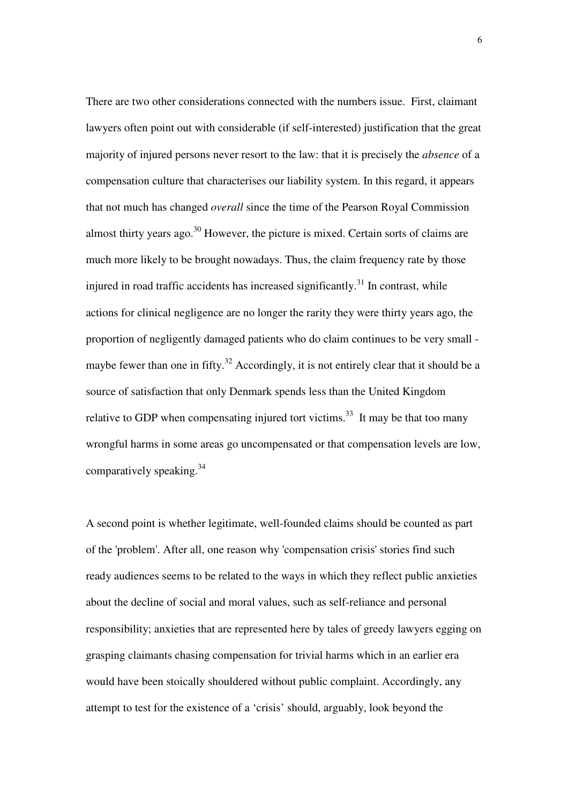There are two other considerations connected with the numbers issue. First, claimant lawyers often point out with considerable (if self-interested) justification that the great majority of injured persons never resort to the law: that it is precisely the *absence* of a compensation culture that characterises our liability system. In this regard, it appears that not much has changed *overall* since the time of the Pearson Royal Commission almost thirty years ago.<sup>30</sup> However, the picture is mixed. Certain sorts of claims are much more likely to be brought nowadays. Thus, the claim frequency rate by those injured in road traffic accidents has increased significantly.<sup>31</sup> In contrast, while actions for clinical negligence are no longer the rarity they were thirty years ago, the proportion of negligently damaged patients who do claim continues to be very small maybe fewer than one in fifty.<sup>32</sup> Accordingly, it is not entirely clear that it should be a source of satisfaction that only Denmark spends less than the United Kingdom relative to GDP when compensating injured tort victims.<sup>33</sup> It may be that too many wrongful harms in some areas go uncompensated or that compensation levels are low, comparatively speaking.<sup>34</sup>

A second point is whether legitimate, well-founded claims should be counted as part of the 'problem'. After all, one reason why 'compensation crisis' stories find such ready audiences seems to be related to the ways in which they reflect public anxieties about the decline of social and moral values, such as self-reliance and personal responsibility; anxieties that are represented here by tales of greedy lawyers egging on grasping claimants chasing compensation for trivial harms which in an earlier era would have been stoically shouldered without public complaint. Accordingly, any attempt to test for the existence of a 'crisis' should, arguably, look beyond the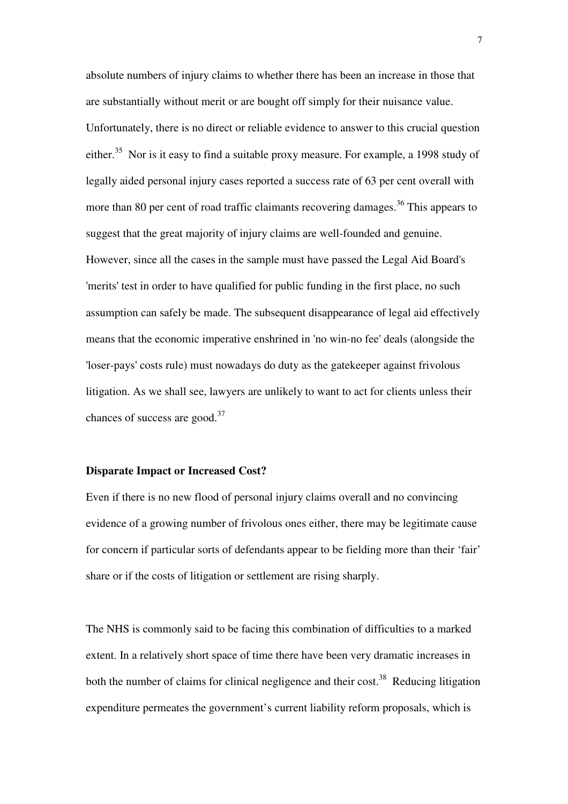absolute numbers of injury claims to whether there has been an increase in those that are substantially without merit or are bought off simply for their nuisance value. Unfortunately, there is no direct or reliable evidence to answer to this crucial question either.<sup>35</sup> Nor is it easy to find a suitable proxy measure. For example, a 1998 study of legally aided personal injury cases reported a success rate of 63 per cent overall with more than 80 per cent of road traffic claimants recovering damages.<sup>36</sup> This appears to suggest that the great majority of injury claims are well-founded and genuine. However, since all the cases in the sample must have passed the Legal Aid Board's 'merits' test in order to have qualified for public funding in the first place, no such assumption can safely be made. The subsequent disappearance of legal aid effectively means that the economic imperative enshrined in 'no win-no fee' deals (alongside the 'loser-pays' costs rule) must nowadays do duty as the gatekeeper against frivolous litigation. As we shall see, lawyers are unlikely to want to act for clients unless their chances of success are good. $37$ 

# **Disparate Impact or Increased Cost?**

Even if there is no new flood of personal injury claims overall and no convincing evidence of a growing number of frivolous ones either, there may be legitimate cause for concern if particular sorts of defendants appear to be fielding more than their 'fair' share or if the costs of litigation or settlement are rising sharply.

The NHS is commonly said to be facing this combination of difficulties to a marked extent. In a relatively short space of time there have been very dramatic increases in both the number of claims for clinical negligence and their cost.<sup>38</sup> Reducing litigation expenditure permeates the government's current liability reform proposals, which is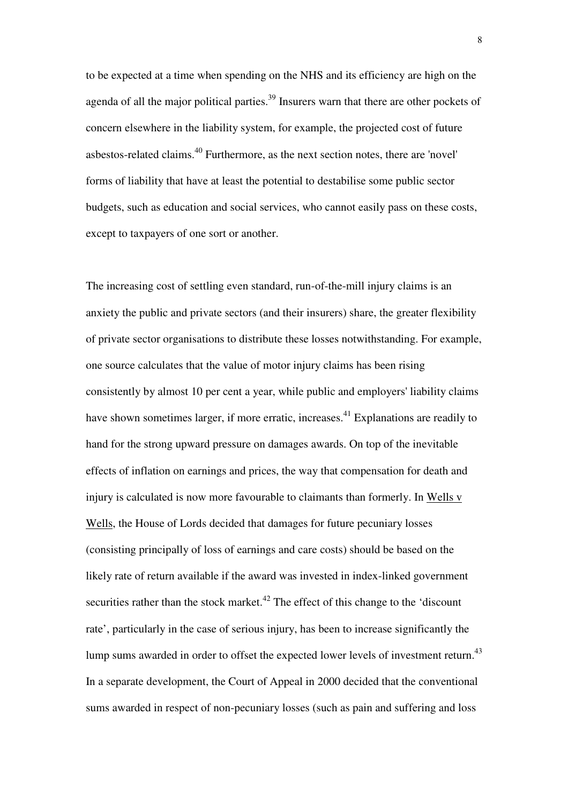to be expected at a time when spending on the NHS and its efficiency are high on the agenda of all the major political parties.<sup>39</sup> Insurers warn that there are other pockets of concern elsewhere in the liability system, for example, the projected cost of future asbestos-related claims.<sup>40</sup> Furthermore, as the next section notes, there are 'novel' forms of liability that have at least the potential to destabilise some public sector budgets, such as education and social services, who cannot easily pass on these costs, except to taxpayers of one sort or another.

The increasing cost of settling even standard, run-of-the-mill injury claims is an anxiety the public and private sectors (and their insurers) share, the greater flexibility of private sector organisations to distribute these losses notwithstanding. For example, one source calculates that the value of motor injury claims has been rising consistently by almost 10 per cent a year, while public and employers' liability claims have shown sometimes larger, if more erratic, increases.<sup>41</sup> Explanations are readily to hand for the strong upward pressure on damages awards. On top of the inevitable effects of inflation on earnings and prices, the way that compensation for death and injury is calculated is now more favourable to claimants than formerly. In Wells v Wells, the House of Lords decided that damages for future pecuniary losses (consisting principally of loss of earnings and care costs) should be based on the likely rate of return available if the award was invested in index-linked government securities rather than the stock market.<sup> $42$ </sup> The effect of this change to the 'discount rate', particularly in the case of serious injury, has been to increase significantly the lump sums awarded in order to offset the expected lower levels of investment return.<sup>43</sup> In a separate development, the Court of Appeal in 2000 decided that the conventional sums awarded in respect of non-pecuniary losses (such as pain and suffering and loss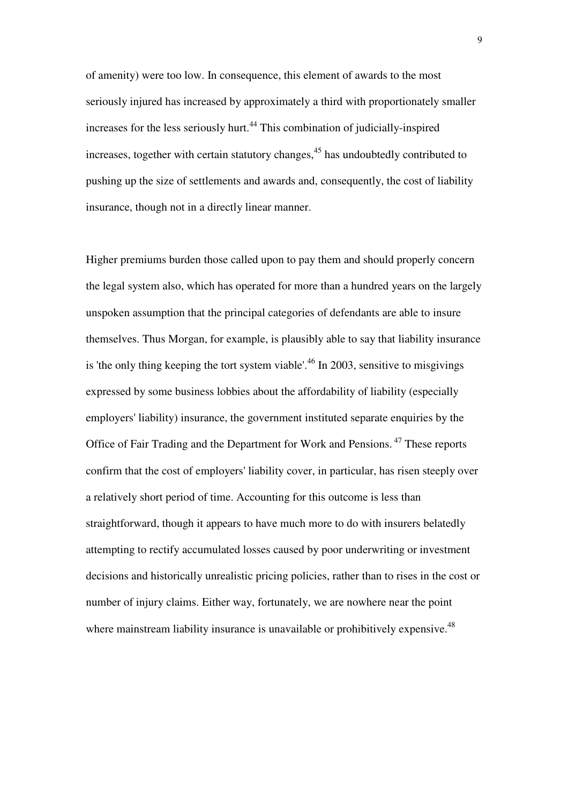of amenity) were too low. In consequence, this element of awards to the most seriously injured has increased by approximately a third with proportionately smaller increases for the less seriously hurt.<sup>44</sup> This combination of judicially-inspired increases, together with certain statutory changes,<sup>45</sup> has undoubtedly contributed to pushing up the size of settlements and awards and, consequently, the cost of liability insurance, though not in a directly linear manner.

Higher premiums burden those called upon to pay them and should properly concern the legal system also, which has operated for more than a hundred years on the largely unspoken assumption that the principal categories of defendants are able to insure themselves. Thus Morgan, for example, is plausibly able to say that liability insurance is 'the only thing keeping the tort system viable'.<sup>46</sup> In 2003, sensitive to misgivings expressed by some business lobbies about the affordability of liability (especially employers' liability) insurance, the government instituted separate enquiries by the Office of Fair Trading and the Department for Work and Pensions.<sup>47</sup> These reports confirm that the cost of employers' liability cover, in particular, has risen steeply over a relatively short period of time. Accounting for this outcome is less than straightforward, though it appears to have much more to do with insurers belatedly attempting to rectify accumulated losses caused by poor underwriting or investment decisions and historically unrealistic pricing policies, rather than to rises in the cost or number of injury claims. Either way, fortunately, we are nowhere near the point where mainstream liability insurance is unavailable or prohibitively expensive.<sup>48</sup>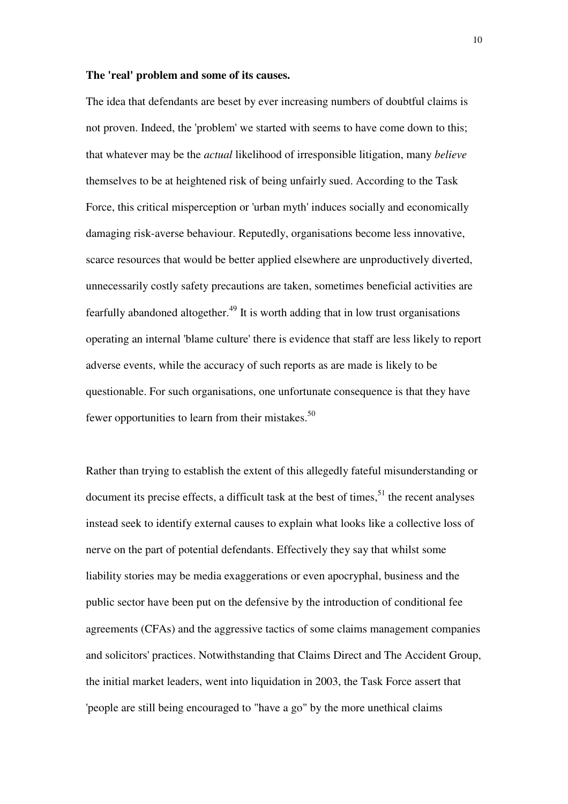#### **The 'real' problem and some of its causes.**

The idea that defendants are beset by ever increasing numbers of doubtful claims is not proven. Indeed, the 'problem' we started with seems to have come down to this; that whatever may be the *actual* likelihood of irresponsible litigation, many *believe* themselves to be at heightened risk of being unfairly sued. According to the Task Force, this critical misperception or 'urban myth' induces socially and economically damaging risk-averse behaviour. Reputedly, organisations become less innovative, scarce resources that would be better applied elsewhere are unproductively diverted, unnecessarily costly safety precautions are taken, sometimes beneficial activities are fearfully abandoned altogether.<sup>49</sup> It is worth adding that in low trust organisations operating an internal 'blame culture' there is evidence that staff are less likely to report adverse events, while the accuracy of such reports as are made is likely to be questionable. For such organisations, one unfortunate consequence is that they have fewer opportunities to learn from their mistakes.<sup>50</sup>

Rather than trying to establish the extent of this allegedly fateful misunderstanding or document its precise effects, a difficult task at the best of times,  $51$  the recent analyses instead seek to identify external causes to explain what looks like a collective loss of nerve on the part of potential defendants. Effectively they say that whilst some liability stories may be media exaggerations or even apocryphal, business and the public sector have been put on the defensive by the introduction of conditional fee agreements (CFAs) and the aggressive tactics of some claims management companies and solicitors' practices. Notwithstanding that Claims Direct and The Accident Group, the initial market leaders, went into liquidation in 2003, the Task Force assert that 'people are still being encouraged to "have a go" by the more unethical claims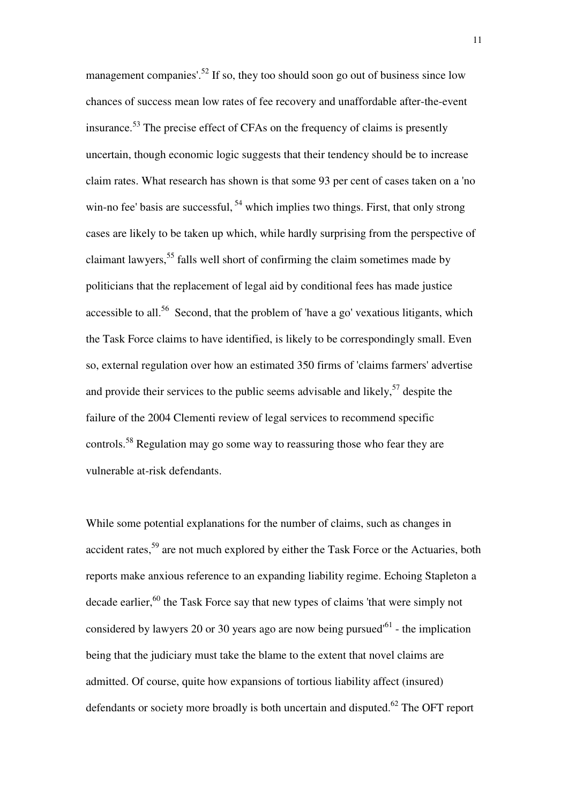management companies'.<sup>52</sup> If so, they too should soon go out of business since low chances of success mean low rates of fee recovery and unaffordable after-the-event insurance.<sup>53</sup> The precise effect of CFAs on the frequency of claims is presently uncertain, though economic logic suggests that their tendency should be to increase claim rates. What research has shown is that some 93 per cent of cases taken on a 'no win-no fee' basis are successful, <sup>54</sup> which implies two things. First, that only strong cases are likely to be taken up which, while hardly surprising from the perspective of claimant lawyers,<sup>55</sup> falls well short of confirming the claim sometimes made by politicians that the replacement of legal aid by conditional fees has made justice accessible to all.<sup>56</sup> Second, that the problem of 'have a go' vexatious litigants, which the Task Force claims to have identified, is likely to be correspondingly small. Even so, external regulation over how an estimated 350 firms of 'claims farmers' advertise and provide their services to the public seems advisable and likely,  $57$  despite the failure of the 2004 Clementi review of legal services to recommend specific controls.<sup>58</sup> Regulation may go some way to reassuring those who fear they are vulnerable at-risk defendants.

While some potential explanations for the number of claims, such as changes in accident rates,<sup>59</sup> are not much explored by either the Task Force or the Actuaries, both reports make anxious reference to an expanding liability regime. Echoing Stapleton a decade earlier,<sup>60</sup> the Task Force say that new types of claims 'that were simply not considered by lawyers 20 or 30 years ago are now being pursued<sup> $61$ </sup> - the implication being that the judiciary must take the blame to the extent that novel claims are admitted. Of course, quite how expansions of tortious liability affect (insured) defendants or society more broadly is both uncertain and disputed.<sup>62</sup> The OFT report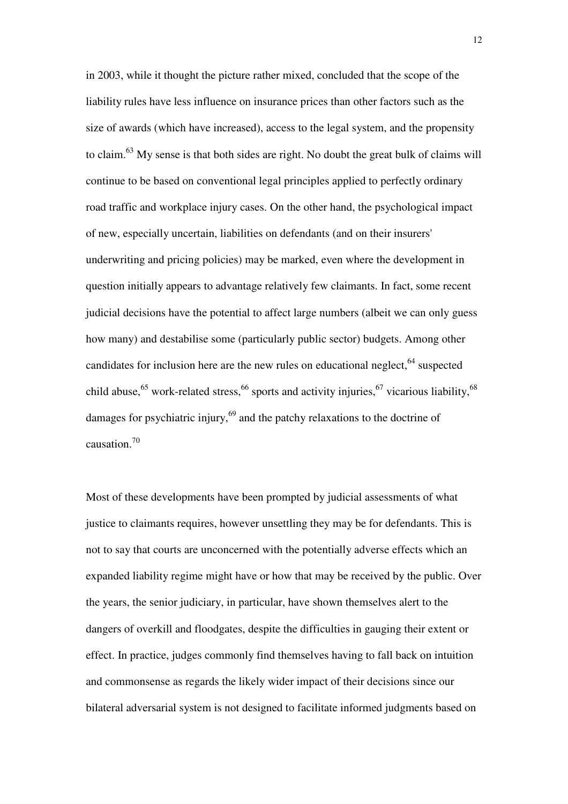in 2003, while it thought the picture rather mixed, concluded that the scope of the liability rules have less influence on insurance prices than other factors such as the size of awards (which have increased), access to the legal system, and the propensity to claim.<sup>63</sup> My sense is that both sides are right. No doubt the great bulk of claims will continue to be based on conventional legal principles applied to perfectly ordinary road traffic and workplace injury cases. On the other hand, the psychological impact of new, especially uncertain, liabilities on defendants (and on their insurers' underwriting and pricing policies) may be marked, even where the development in question initially appears to advantage relatively few claimants. In fact, some recent judicial decisions have the potential to affect large numbers (albeit we can only guess how many) and destabilise some (particularly public sector) budgets. Among other candidates for inclusion here are the new rules on educational neglect, $64$  suspected child abuse,<sup>65</sup> work-related stress,<sup>66</sup> sports and activity injuries,<sup>67</sup> vicarious liability,<sup>68</sup> damages for psychiatric injury,<sup>69</sup> and the patchy relaxations to the doctrine of causation.<sup>70</sup>

Most of these developments have been prompted by judicial assessments of what justice to claimants requires, however unsettling they may be for defendants. This is not to say that courts are unconcerned with the potentially adverse effects which an expanded liability regime might have or how that may be received by the public. Over the years, the senior judiciary, in particular, have shown themselves alert to the dangers of overkill and floodgates, despite the difficulties in gauging their extent or effect. In practice, judges commonly find themselves having to fall back on intuition and commonsense as regards the likely wider impact of their decisions since our bilateral adversarial system is not designed to facilitate informed judgments based on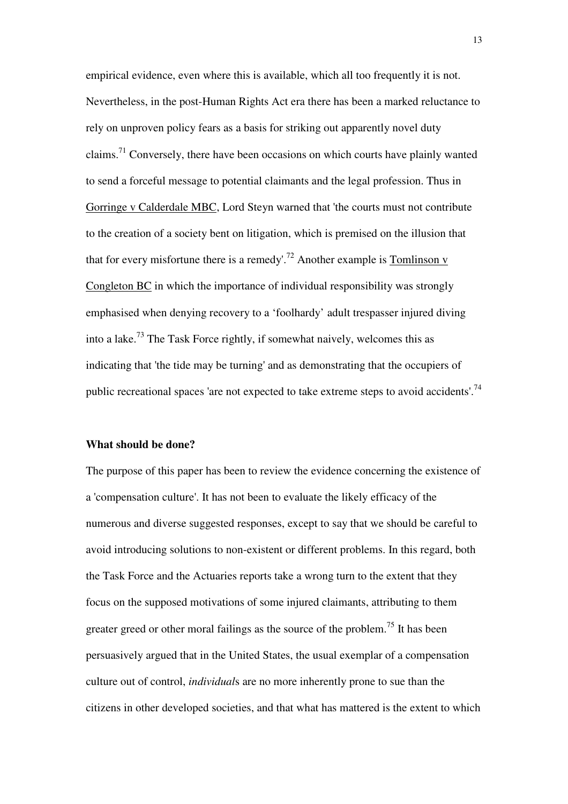empirical evidence, even where this is available, which all too frequently it is not. Nevertheless, in the post-Human Rights Act era there has been a marked reluctance to rely on unproven policy fears as a basis for striking out apparently novel duty claims.<sup>71</sup> Conversely, there have been occasions on which courts have plainly wanted to send a forceful message to potential claimants and the legal profession. Thus in Gorringe v Calderdale MBC, Lord Steyn warned that 'the courts must not contribute to the creation of a society bent on litigation, which is premised on the illusion that that for every misfortune there is a remedy'.<sup>72</sup> Another example is Tomlinson v Congleton BC in which the importance of individual responsibility was strongly emphasised when denying recovery to a 'foolhardy' adult trespasser injured diving into a lake.<sup>73</sup> The Task Force rightly, if somewhat naively, welcomes this as indicating that 'the tide may be turning' and as demonstrating that the occupiers of public recreational spaces 'are not expected to take extreme steps to avoid accidents'.<sup>74</sup>

# **What should be done?**

The purpose of this paper has been to review the evidence concerning the existence of a 'compensation culture'. It has not been to evaluate the likely efficacy of the numerous and diverse suggested responses, except to say that we should be careful to avoid introducing solutions to non-existent or different problems. In this regard, both the Task Force and the Actuaries reports take a wrong turn to the extent that they focus on the supposed motivations of some injured claimants, attributing to them greater greed or other moral failings as the source of the problem.<sup>75</sup> It has been persuasively argued that in the United States, the usual exemplar of a compensation culture out of control, *individual*s are no more inherently prone to sue than the citizens in other developed societies, and that what has mattered is the extent to which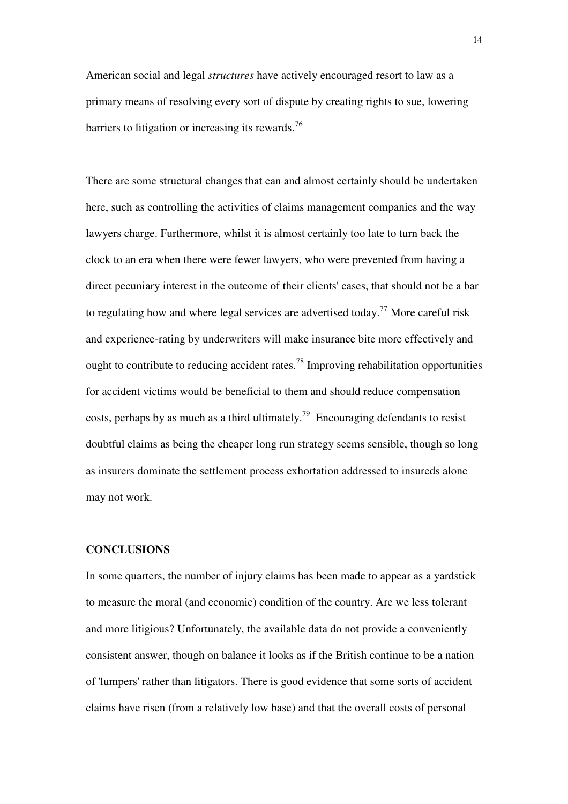American social and legal *structures* have actively encouraged resort to law as a primary means of resolving every sort of dispute by creating rights to sue, lowering barriers to litigation or increasing its rewards.<sup>76</sup>

There are some structural changes that can and almost certainly should be undertaken here, such as controlling the activities of claims management companies and the way lawyers charge. Furthermore, whilst it is almost certainly too late to turn back the clock to an era when there were fewer lawyers, who were prevented from having a direct pecuniary interest in the outcome of their clients' cases, that should not be a bar to regulating how and where legal services are advertised today.<sup>77</sup> More careful risk and experience-rating by underwriters will make insurance bite more effectively and ought to contribute to reducing accident rates.<sup>78</sup> Improving rehabilitation opportunities for accident victims would be beneficial to them and should reduce compensation costs, perhaps by as much as a third ultimately.<sup>79</sup> Encouraging defendants to resist doubtful claims as being the cheaper long run strategy seems sensible, though so long as insurers dominate the settlement process exhortation addressed to insureds alone may not work.

# **CONCLUSIONS**

In some quarters, the number of injury claims has been made to appear as a yardstick to measure the moral (and economic) condition of the country. Are we less tolerant and more litigious? Unfortunately, the available data do not provide a conveniently consistent answer, though on balance it looks as if the British continue to be a nation of 'lumpers' rather than litigators. There is good evidence that some sorts of accident claims have risen (from a relatively low base) and that the overall costs of personal

14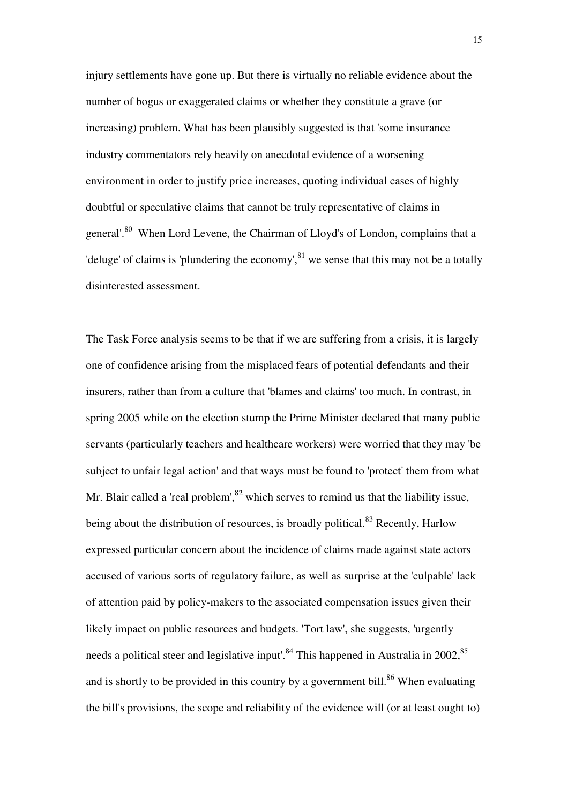injury settlements have gone up. But there is virtually no reliable evidence about the number of bogus or exaggerated claims or whether they constitute a grave (or increasing) problem. What has been plausibly suggested is that 'some insurance industry commentators rely heavily on anecdotal evidence of a worsening environment in order to justify price increases, quoting individual cases of highly doubtful or speculative claims that cannot be truly representative of claims in general'.<sup>80</sup> When Lord Levene, the Chairman of Lloyd's of London, complains that a 'deluge' of claims is 'plundering the economy',  $81$ <sup>n</sup> we sense that this may not be a totally disinterested assessment.

The Task Force analysis seems to be that if we are suffering from a crisis, it is largely one of confidence arising from the misplaced fears of potential defendants and their insurers, rather than from a culture that 'blames and claims' too much. In contrast, in spring 2005 while on the election stump the Prime Minister declared that many public servants (particularly teachers and healthcare workers) were worried that they may 'be subject to unfair legal action' and that ways must be found to 'protect' them from what Mr. Blair called a 'real problem',  $82$  which serves to remind us that the liability issue, being about the distribution of resources, is broadly political.<sup>83</sup> Recently, Harlow expressed particular concern about the incidence of claims made against state actors accused of various sorts of regulatory failure, as well as surprise at the 'culpable' lack of attention paid by policy-makers to the associated compensation issues given their likely impact on public resources and budgets. 'Tort law', she suggests, 'urgently needs a political steer and legislative input<sup>84</sup>. This happened in Australia in 2002, <sup>85</sup> and is shortly to be provided in this country by a government bill.<sup>86</sup> When evaluating the bill's provisions, the scope and reliability of the evidence will (or at least ought to)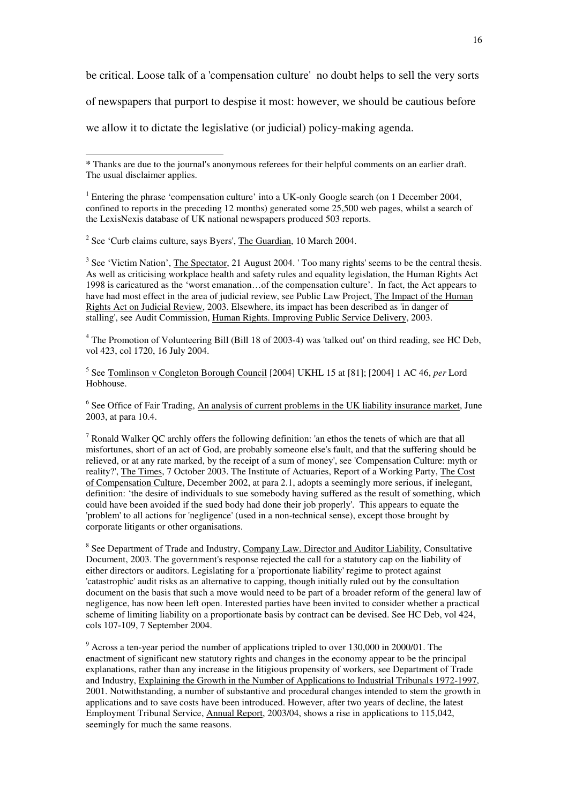be critical. Loose talk of a 'compensation culture' no doubt helps to sell the very sorts

of newspapers that purport to despise it most: however, we should be cautious before

we allow it to dictate the legislative (or judicial) policy-making agenda.

<sup>2</sup> See 'Curb claims culture, says Byers',  $The Guardian$ , 10 March 2004.

 $\overline{a}$ 

 $3$  See 'Victim Nation', The Spectator, 21 August 2004. 'Too many rights' seems to be the central thesis. As well as criticising workplace health and safety rules and equality legislation, the Human Rights Act 1998 is caricatured as the 'worst emanation…of the compensation culture'. In fact, the Act appears to have had most effect in the area of judicial review, see Public Law Project, The Impact of the Human Rights Act on Judicial Review, 2003. Elsewhere, its impact has been described as 'in danger of stalling', see Audit Commission, Human Rights. Improving Public Service Delivery, 2003.

<sup>4</sup> The Promotion of Volunteering Bill (Bill 18 of 2003-4) was 'talked out' on third reading, see HC Deb, vol 423, col 1720, 16 July 2004.

5 See Tomlinson v Congleton Borough Council [2004] UKHL 15 at [81]; [2004] 1 AC 46, *per* Lord Hobhouse.

<sup>6</sup> See Office of Fair Trading, An analysis of current problems in the UK liability insurance market, June 2003, at para 10.4.

 $<sup>7</sup>$  Ronald Walker QC archly offers the following definition: 'an ethos the tenets of which are that all</sup> misfortunes, short of an act of God, are probably someone else's fault, and that the suffering should be relieved, or at any rate marked, by the receipt of a sum of money', see 'Compensation Culture: myth or reality?', The Times, 7 October 2003. The Institute of Actuaries, Report of a Working Party, The Cost of Compensation Culture, December 2002, at para 2.1, adopts a seemingly more serious, if inelegant, definition: 'the desire of individuals to sue somebody having suffered as the result of something, which could have been avoided if the sued body had done their job properly'. This appears to equate the 'problem' to all actions for 'negligence' (used in a non-technical sense), except those brought by corporate litigants or other organisations.

<sup>8</sup> See Department of Trade and Industry, Company Law. Director and Auditor Liability, Consultative Document, 2003. The government's response rejected the call for a statutory cap on the liability of either directors or auditors. Legislating for a 'proportionate liability' regime to protect against 'catastrophic' audit risks as an alternative to capping, though initially ruled out by the consultation document on the basis that such a move would need to be part of a broader reform of the general law of negligence, has now been left open. Interested parties have been invited to consider whether a practical scheme of limiting liability on a proportionate basis by contract can be devised. See HC Deb, vol 424, cols 107-109, 7 September 2004.

 $9$  Across a ten-year period the number of applications tripled to over 130,000 in 2000/01. The enactment of significant new statutory rights and changes in the economy appear to be the principal explanations, rather than any increase in the litigious propensity of workers, see Department of Trade and Industry, Explaining the Growth in the Number of Applications to Industrial Tribunals 1972-1997, 2001. Notwithstanding, a number of substantive and procedural changes intended to stem the growth in applications and to save costs have been introduced. However, after two years of decline, the latest Employment Tribunal Service, Annual Report, 2003/04, shows a rise in applications to 115,042, seemingly for much the same reasons.

**<sup>\*</sup>** Thanks are due to the journal's anonymous referees for their helpful comments on an earlier draft. The usual disclaimer applies.

<sup>&</sup>lt;sup>1</sup> Entering the phrase 'compensation culture' into a UK-only Google search (on 1 December 2004, confined to reports in the preceding 12 months) generated some 25,500 web pages, whilst a search of the LexisNexis database of UK national newspapers produced 503 reports.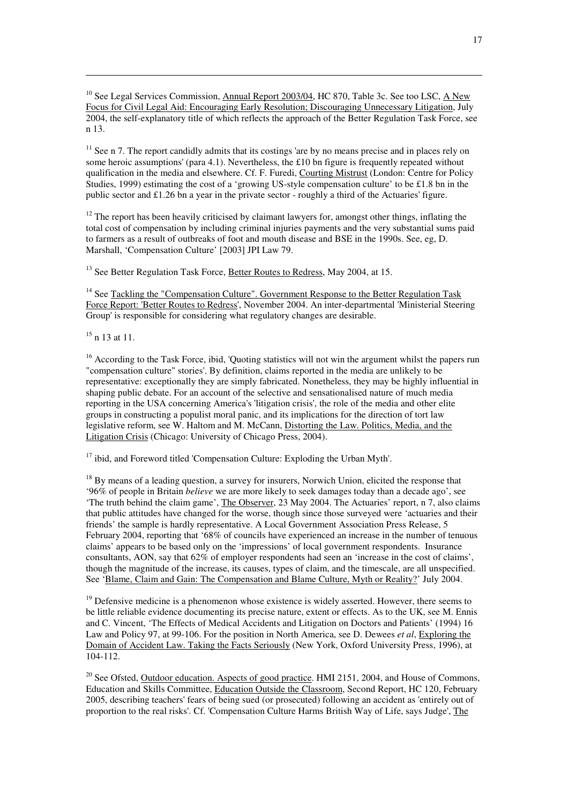<sup>10</sup> See Legal Services Commission, Annual Report 2003/04, HC 870, Table 3c. See too LSC, A New Focus for Civil Legal Aid: Encouraging Early Resolution; Discouraging Unnecessary Litigation, July 2004, the self-explanatory title of which reflects the approach of the Better Regulation Task Force, see n 13.

 $11$  See n 7. The report candidly admits that its costings 'are by no means precise and in places rely on some heroic assumptions' (para 4.1). Nevertheless, the £10 bn figure is frequently repeated without qualification in the media and elsewhere. Cf. F. Furedi, Courting Mistrust (London: Centre for Policy Studies, 1999) estimating the cost of a 'growing US-style compensation culture' to be £1.8 bn in the public sector and £1.26 bn a year in the private sector - roughly a third of the Actuaries' figure.

 $12$  The report has been heavily criticised by claimant lawyers for, amongst other things, inflating the total cost of compensation by including criminal injuries payments and the very substantial sums paid to farmers as a result of outbreaks of foot and mouth disease and BSE in the 1990s. See, eg, D. Marshall, 'Compensation Culture' [2003] JPI Law 79.

<sup>13</sup> See Better Regulation Task Force, Better Routes to Redress, May 2004, at 15.

<sup>14</sup> See Tackling the "Compensation Culture". Government Response to the Better Regulation Task Force Report: 'Better Routes to Redress', November 2004. An inter-departmental 'Ministerial Steering Group' is responsible for considering what regulatory changes are desirable.

 $15$  n 13 at 11.

 $\overline{a}$ 

<sup>16</sup> According to the Task Force, ibid, 'Quoting statistics will not win the argument whilst the papers run "compensation culture" stories'. By definition, claims reported in the media are unlikely to be representative: exceptionally they are simply fabricated. Nonetheless, they may be highly influential in shaping public debate. For an account of the selective and sensationalised nature of much media reporting in the USA concerning America's 'litigation crisis', the role of the media and other elite groups in constructing a populist moral panic, and its implications for the direction of tort law legislative reform, see W. Haltom and M. McCann, Distorting the Law. Politics, Media, and the Litigation Crisis (Chicago: University of Chicago Press, 2004).

 $17$  ibid, and Foreword titled 'Compensation Culture: Exploding the Urban Myth'.

<sup>18</sup> By means of a leading question, a survey for insurers, Norwich Union, elicited the response that '96% of people in Britain *believe* we are more likely to seek damages today than a decade ago', see 'The truth behind the claim game', The Observer, 23 May 2004. The Actuaries' report, n 7, also claims that public attitudes have changed for the worse, though since those surveyed were 'actuaries and their friends' the sample is hardly representative. A Local Government Association Press Release, 5 February 2004, reporting that '68% of councils have experienced an increase in the number of tenuous claims' appears to be based only on the 'impressions' of local government respondents. Insurance consultants, AON, say that 62% of employer respondents had seen an 'increase in the cost of claims', though the magnitude of the increase, its causes, types of claim, and the timescale, are all unspecified. See 'Blame, Claim and Gain: The Compensation and Blame Culture, Myth or Reality?' July 2004.

 $19$  Defensive medicine is a phenomenon whose existence is widely asserted. However, there seems to be little reliable evidence documenting its precise nature, extent or effects. As to the UK, see M. Ennis and C. Vincent, 'The Effects of Medical Accidents and Litigation on Doctors and Patients' (1994) 16 Law and Policy 97, at 99-106. For the position in North America, see D. Dewees *et al*, Exploring the Domain of Accident Law. Taking the Facts Seriously (New York, Oxford University Press, 1996), at 104-112.

<sup>20</sup> See Ofsted, <u>Outdoor education. Aspects of good practice</u>. HMI 2151, 2004, and House of Commons, Education and Skills Committee, Education Outside the Classroom, Second Report, HC 120, February 2005, describing teachers' fears of being sued (or prosecuted) following an accident as 'entirely out of proportion to the real risks'. Cf. 'Compensation Culture Harms British Way of Life, says Judge', The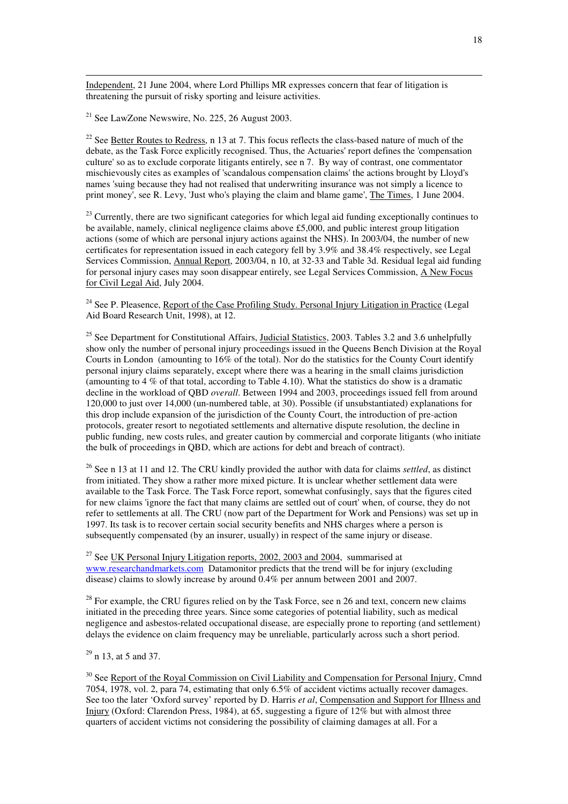Independent, 21 June 2004, where Lord Phillips MR expresses concern that fear of litigation is threatening the pursuit of risky sporting and leisure activities.

 $21$  See LawZone Newswire, No. 225, 26 August 2003.

 $\overline{a}$ 

<sup>22</sup> See Better Routes to Redress, n 13 at 7. This focus reflects the class-based nature of much of the debate, as the Task Force explicitly recognised. Thus, the Actuaries' report defines the 'compensation culture' so as to exclude corporate litigants entirely, see n 7. By way of contrast, one commentator mischievously cites as examples of 'scandalous compensation claims' the actions brought by Lloyd's names 'suing because they had not realised that underwriting insurance was not simply a licence to print money', see R. Levy, 'Just who's playing the claim and blame game', The Times, 1 June 2004.

 $^{23}$  Currently, there are two significant categories for which legal aid funding exceptionally continues to be available, namely, clinical negligence claims above £5,000, and public interest group litigation actions (some of which are personal injury actions against the NHS). In 2003/04, the number of new certificates for representation issued in each category fell by 3.9% and 38.4% respectively, see Legal Services Commission, Annual Report, 2003/04, n 10, at 32-33 and Table 3d. Residual legal aid funding for personal injury cases may soon disappear entirely, see Legal Services Commission, A New Focus for Civil Legal Aid, July 2004.

<sup>24</sup> See P. Pleasence, Report of the Case Profiling Study. Personal Injury Litigation in Practice (Legal Aid Board Research Unit, 1998), at 12.

<sup>25</sup> See Department for Constitutional Affairs, Judicial Statistics, 2003. Tables 3.2 and 3.6 unhelpfully show only the number of personal injury proceedings issued in the Queens Bench Division at the Royal Courts in London (amounting to 16% of the total). Nor do the statistics for the County Court identify personal injury claims separately, except where there was a hearing in the small claims jurisdiction (amounting to 4 % of that total, according to Table 4.10). What the statistics do show is a dramatic decline in the workload of QBD *overall*. Between 1994 and 2003, proceedings issued fell from around 120,000 to just over 14,000 (un-numbered table, at 30). Possible (if unsubstantiated) explanations for this drop include expansion of the jurisdiction of the County Court, the introduction of pre-action protocols, greater resort to negotiated settlements and alternative dispute resolution, the decline in public funding, new costs rules, and greater caution by commercial and corporate litigants (who initiate the bulk of proceedings in QBD, which are actions for debt and breach of contract).

<sup>26</sup> See n 13 at 11 and 12. The CRU kindly provided the author with data for claims *settled*, as distinct from initiated. They show a rather more mixed picture. It is unclear whether settlement data were available to the Task Force. The Task Force report, somewhat confusingly, says that the figures cited for new claims 'ignore the fact that many claims are settled out of court' when, of course, they do not refer to settlements at all. The CRU (now part of the Department for Work and Pensions) was set up in 1997. Its task is to recover certain social security benefits and NHS charges where a person is subsequently compensated (by an insurer, usually) in respect of the same injury or disease.

<sup>27</sup> See <u>UK Personal Injury Litigation reports, 2002, 2003 and 2004</u>, summarised at www.researchandmarkets.com Datamonitor predicts that the trend will be for injury (excluding disease) claims to slowly increase by around 0.4% per annum between 2001 and 2007.

 $2^8$  For example, the CRU figures relied on by the Task Force, see n 26 and text, concern new claims initiated in the preceding three years. Since some categories of potential liability, such as medical negligence and asbestos-related occupational disease, are especially prone to reporting (and settlement) delays the evidence on claim frequency may be unreliable, particularly across such a short period.

 $29$  n 13, at 5 and 37.

<sup>30</sup> See Report of the Royal Commission on Civil Liability and Compensation for Personal Injury, Cmnd 7054, 1978, vol. 2, para 74, estimating that only 6.5% of accident victims actually recover damages. See too the later 'Oxford survey' reported by D. Harris *et al*, Compensation and Support for Illness and Injury (Oxford: Clarendon Press, 1984), at 65, suggesting a figure of 12% but with almost three quarters of accident victims not considering the possibility of claiming damages at all. For a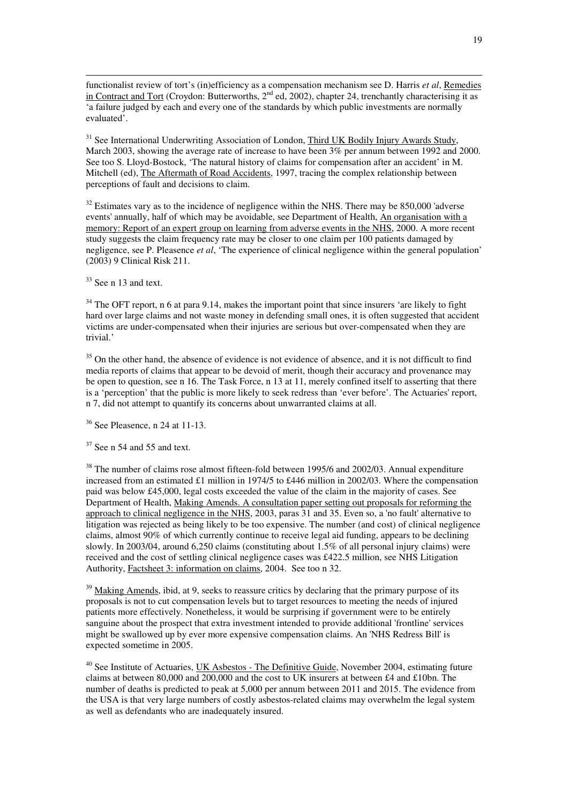functionalist review of tort's (in)efficiency as a compensation mechanism see D. Harris *et al*, Remedies in Contract and Tort (Croydon: Butterworths, 2<sup>nd</sup> ed, 2002), chapter 24, trenchantly characterising it as 'a failure judged by each and every one of the standards by which public investments are normally evaluated'.

<sup>31</sup> See International Underwriting Association of London, Third UK Bodily Injury Awards Study, March 2003, showing the average rate of increase to have been 3% per annum between 1992 and 2000. See too S. Lloyd-Bostock, 'The natural history of claims for compensation after an accident' in M. Mitchell (ed), The Aftermath of Road Accidents, 1997, tracing the complex relationship between perceptions of fault and decisions to claim.

 $32$  Estimates vary as to the incidence of negligence within the NHS. There may be 850,000 'adverse events' annually, half of which may be avoidable, see Department of Health, An organisation with a memory: Report of an expert group on learning from adverse events in the NHS, 2000. A more recent study suggests the claim frequency rate may be closer to one claim per 100 patients damaged by negligence, see P. Pleasence *et al*, 'The experience of clinical negligence within the general population' (2003) 9 Clinical Risk 211.

 $33$  See n 13 and text.

 $\overline{a}$ 

 $34$  The OFT report, n 6 at para 9.14, makes the important point that since insurers 'are likely to fight hard over large claims and not waste money in defending small ones, it is often suggested that accident victims are under-compensated when their injuries are serious but over-compensated when they are trivial.'

<sup>35</sup> On the other hand, the absence of evidence is not evidence of absence, and it is not difficult to find media reports of claims that appear to be devoid of merit, though their accuracy and provenance may be open to question, see n 16. The Task Force, n 13 at 11, merely confined itself to asserting that there is a 'perception' that the public is more likely to seek redress than 'ever before'. The Actuaries' report, n 7, did not attempt to quantify its concerns about unwarranted claims at all.

<sup>36</sup> See Pleasence, n 24 at 11-13.

 $37$  See n 54 and 55 and text.

<sup>38</sup> The number of claims rose almost fifteen-fold between 1995/6 and 2002/03. Annual expenditure increased from an estimated £1 million in 1974/5 to £446 million in 2002/03. Where the compensation paid was below £45,000, legal costs exceeded the value of the claim in the majority of cases. See Department of Health, Making Amends. A consultation paper setting out proposals for reforming the approach to clinical negligence in the NHS, 2003, paras 31 and 35. Even so, a 'no fault' alternative to litigation was rejected as being likely to be too expensive. The number (and cost) of clinical negligence claims, almost 90% of which currently continue to receive legal aid funding, appears to be declining slowly. In 2003/04, around 6,250 claims (constituting about 1.5% of all personal injury claims) were received and the cost of settling clinical negligence cases was £422.5 million, see NHS Litigation Authority, Factsheet 3: information on claims, 2004. See too n 32.

<sup>39</sup> Making Amends, ibid, at 9, seeks to reassure critics by declaring that the primary purpose of its proposals is not to cut compensation levels but to target resources to meeting the needs of injured patients more effectively. Nonetheless, it would be surprising if government were to be entirely sanguine about the prospect that extra investment intended to provide additional 'frontline' services might be swallowed up by ever more expensive compensation claims. An 'NHS Redress Bill' is expected sometime in 2005.

 $40$  See Institute of Actuaries, UK Asbestos - The Definitive Guide, November 2004, estimating future claims at between 80,000 and 200,000 and the cost to UK insurers at between £4 and £10bn. The number of deaths is predicted to peak at 5,000 per annum between 2011 and 2015. The evidence from the USA is that very large numbers of costly asbestos-related claims may overwhelm the legal system as well as defendants who are inadequately insured.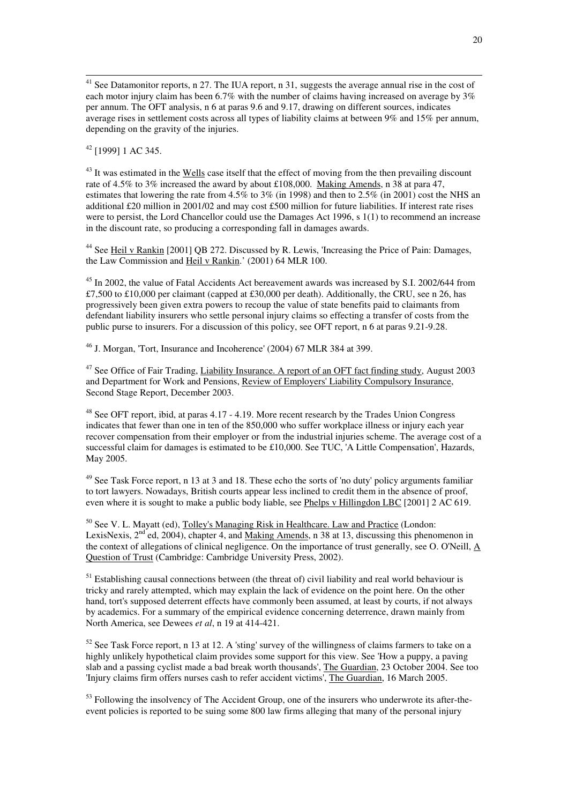$41$  See Datamonitor reports, n 27. The IUA report, n 31, suggests the average annual rise in the cost of each motor injury claim has been 6.7% with the number of claims having increased on average by 3% per annum. The OFT analysis, n 6 at paras 9.6 and 9.17, drawing on different sources, indicates average rises in settlement costs across all types of liability claims at between 9% and 15% per annum, depending on the gravity of the injuries.

 $42$  [1999] 1 AC 345.

 $\overline{a}$ 

<sup>43</sup> It was estimated in the Wells case itself that the effect of moving from the then prevailing discount rate of 4.5% to 3% increased the award by about £108,000. Making Amends, n 38 at para 47, estimates that lowering the rate from 4.5% to 3% (in 1998) and then to  $2.5\%$  (in 2001) cost the NHS an additional £20 million in 2001/02 and may cost £500 million for future liabilities. If interest rate rises were to persist, the Lord Chancellor could use the Damages Act 1996, s 1(1) to recommend an increase in the discount rate, so producing a corresponding fall in damages awards.

<sup>44</sup> See Heil v Rankin [2001] QB 272. Discussed by R. Lewis, 'Increasing the Price of Pain: Damages, the Law Commission and Heil v Rankin.' (2001) 64 MLR 100.

<sup>45</sup> In 2002, the value of Fatal Accidents Act bereavement awards was increased by S.I. 2002/644 from £7,500 to £10,000 per claimant (capped at £30,000 per death). Additionally, the CRU, see n 26, has progressively been given extra powers to recoup the value of state benefits paid to claimants from defendant liability insurers who settle personal injury claims so effecting a transfer of costs from the public purse to insurers. For a discussion of this policy, see OFT report, n 6 at paras 9.21-9.28.

 $^{46}$  J. Morgan, 'Tort, Insurance and Incoherence' (2004) 67 MLR 384 at 399.

<sup>47</sup> See Office of Fair Trading, Liability Insurance. A report of an OFT fact finding study, August 2003 and Department for Work and Pensions, Review of Employers' Liability Compulsory Insurance, Second Stage Report, December 2003.

<sup>48</sup> See OFT report, ibid, at paras 4.17 - 4.19. More recent research by the Trades Union Congress indicates that fewer than one in ten of the 850,000 who suffer workplace illness or injury each year recover compensation from their employer or from the industrial injuries scheme. The average cost of a successful claim for damages is estimated to be £10,000. See TUC, 'A Little Compensation', Hazards, May 2005.

<sup>49</sup> See Task Force report, n 13 at 3 and 18. These echo the sorts of 'no duty' policy arguments familiar to tort lawyers. Nowadays, British courts appear less inclined to credit them in the absence of proof, even where it is sought to make a public body liable, see Phelps v Hillingdon LBC [2001] 2 AC 619.

<sup>50</sup> See V. L. Mayatt (ed), Tolley's Managing Risk in Healthcare. Law and Practice (London: LexisNexis, 2<sup>nd</sup> ed, 2004), chapter 4, and Making Amends, n 38 at 13, discussing this phenomenon in the context of allegations of clinical negligence. On the importance of trust generally, see O. O'Neill, A Question of Trust (Cambridge: Cambridge University Press, 2002).

<sup>51</sup> Establishing causal connections between (the threat of) civil liability and real world behaviour is tricky and rarely attempted, which may explain the lack of evidence on the point here. On the other hand, tort's supposed deterrent effects have commonly been assumed, at least by courts, if not always by academics. For a summary of the empirical evidence concerning deterrence, drawn mainly from North America, see Dewees *et al*, n 19 at 414-421.

 $52$  See Task Force report, n 13 at 12. A 'sting' survey of the willingness of claims farmers to take on a highly unlikely hypothetical claim provides some support for this view. See 'How a puppy, a paving slab and a passing cyclist made a bad break worth thousands', The Guardian, 23 October 2004. See too 'Injury claims firm offers nurses cash to refer accident victims', The Guardian, 16 March 2005.

<sup>53</sup> Following the insolvency of The Accident Group, one of the insurers who underwrote its after-theevent policies is reported to be suing some 800 law firms alleging that many of the personal injury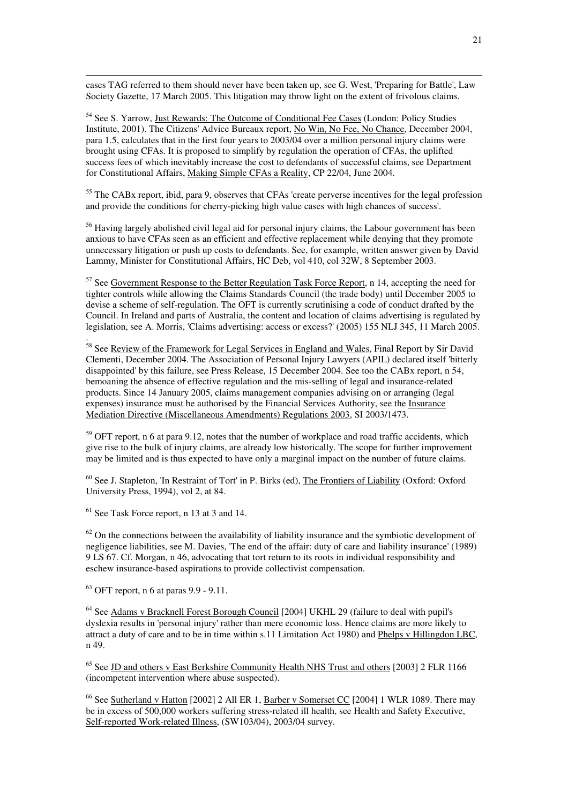cases TAG referred to them should never have been taken up, see G. West, 'Preparing for Battle', Law Society Gazette, 17 March 2005. This litigation may throw light on the extent of frivolous claims.

<sup>54</sup> See S. Yarrow, Just Rewards: The Outcome of Conditional Fee Cases (London: Policy Studies Institute, 2001). The Citizens' Advice Bureaux report, No Win, No Fee, No Chance, December 2004, para 1.5, calculates that in the first four years to 2003/04 over a million personal injury claims were brought using CFAs. It is proposed to simplify by regulation the operation of CFAs, the uplifted success fees of which inevitably increase the cost to defendants of successful claims, see Department for Constitutional Affairs, Making Simple CFAs a Reality, CP 22/04, June 2004.

<sup>55</sup> The CAB<sub>x</sub> report, ibid, para 9, observes that CFAs 'create perverse incentives for the legal profession and provide the conditions for cherry-picking high value cases with high chances of success'.

<sup>56</sup> Having largely abolished civil legal aid for personal injury claims, the Labour government has been anxious to have CFAs seen as an efficient and effective replacement while denying that they promote unnecessary litigation or push up costs to defendants. See, for example, written answer given by David Lammy, Minister for Constitutional Affairs, HC Deb, vol 410, col 32W, 8 September 2003.

 $57$  See Government Response to the Better Regulation Task Force Report, n 14, accepting the need for tighter controls while allowing the Claims Standards Council (the trade body) until December 2005 to devise a scheme of self-regulation. The OFT is currently scrutinising a code of conduct drafted by the Council. In Ireland and parts of Australia, the content and location of claims advertising is regulated by legislation, see A. Morris, 'Claims advertising: access or excess?' (2005) 155 NLJ 345, 11 March 2005.

<sup>58</sup> See <u>Review of the Framework for Legal Services in England and Wales</u>, Final Report by Sir David Clementi, December 2004. The Association of Personal Injury Lawyers (APIL) declared itself 'bitterly disappointed' by this failure, see Press Release, 15 December 2004. See too the CABx report, n 54, bemoaning the absence of effective regulation and the mis-selling of legal and insurance-related products. Since 14 January 2005, claims management companies advising on or arranging (legal expenses) insurance must be authorised by the Financial Services Authority, see the Insurance Mediation Directive (Miscellaneous Amendments) Regulations 2003, SI 2003/1473.

 $59$  OFT report, n 6 at para 9.12, notes that the number of workplace and road traffic accidents, which give rise to the bulk of injury claims, are already low historically. The scope for further improvement may be limited and is thus expected to have only a marginal impact on the number of future claims.

<sup>60</sup> See J. Stapleton, 'In Restraint of Tort' in P. Birks (ed), The Frontiers of Liability (Oxford: Oxford University Press, 1994), vol 2, at 84.

<sup>61</sup> See Task Force report, n 13 at 3 and 14.

 $\overline{a}$ 

.

 $62$  On the connections between the availability of liability insurance and the symbiotic development of negligence liabilities, see M. Davies, 'The end of the affair: duty of care and liability insurance' (1989) 9 LS 67. Cf. Morgan, n 46, advocating that tort return to its roots in individual responsibility and eschew insurance-based aspirations to provide collectivist compensation.

<sup>63</sup> OFT report, n 6 at paras 9.9 - 9.11.

<sup>64</sup> See Adams v Bracknell Forest Borough Council [2004] UKHL 29 (failure to deal with pupil's dyslexia results in 'personal injury' rather than mere economic loss. Hence claims are more likely to attract a duty of care and to be in time within s.11 Limitation Act 1980) and Phelps v Hillingdon LBC, n 49.

 $65$  See JD and others v East Berkshire Community Health NHS Trust and others [2003] 2 FLR 1166 (incompetent intervention where abuse suspected).

<sup>66</sup> See Sutherland v Hatton [2002] 2 All ER 1, Barber v Somerset CC [2004] 1 WLR 1089. There may be in excess of 500,000 workers suffering stress-related ill health, see Health and Safety Executive, Self-reported Work-related Illness, (SW103/04), 2003/04 survey.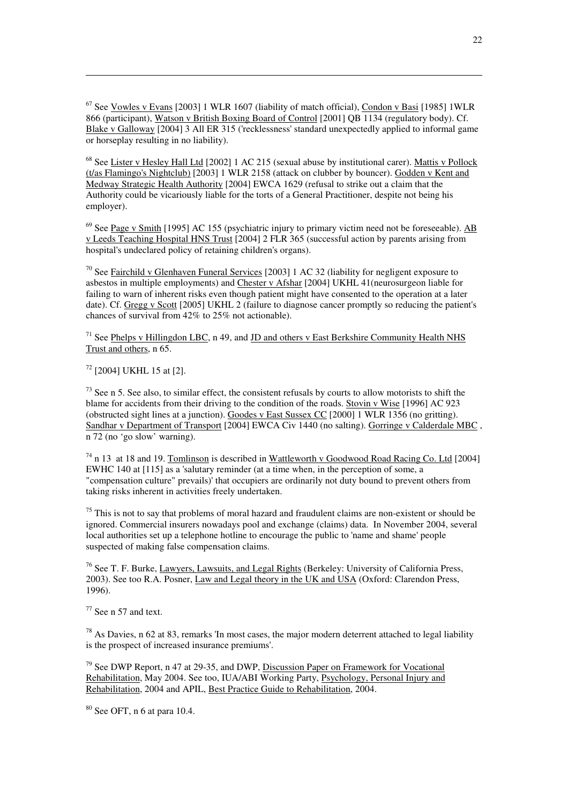$67$  See Vowles v Evans [2003] 1 WLR 1607 (liability of match official), Condon v Basi [1985] 1WLR 866 (participant), Watson v British Boxing Board of Control [2001] QB 1134 (regulatory body). Cf. Blake v Galloway [2004] 3 All ER 315 ('recklessness' standard unexpectedly applied to informal game or horseplay resulting in no liability).

<sup>68</sup> See Lister v Hesley Hall Ltd [2002] 1 AC 215 (sexual abuse by institutional carer). Mattis v Pollock (t/as Flamingo's Nightclub) [2003] 1 WLR 2158 (attack on clubber by bouncer). Godden v Kent and Medway Strategic Health Authority [2004] EWCA 1629 (refusal to strike out a claim that the Authority could be vicariously liable for the torts of a General Practitioner, despite not being his employer).

<sup>69</sup> See <u>Page v Smith</u> [1995] AC 155 (psychiatric injury to primary victim need not be foreseeable). AB v Leeds Teaching Hospital HNS Trust [2004] 2 FLR 365 (successful action by parents arising from hospital's undeclared policy of retaining children's organs).

 $70$  See Fairchild v Glenhaven Funeral Services [2003] 1 AC 32 (liability for negligent exposure to asbestos in multiple employments) and Chester v Afshar [2004] UKHL 41(neurosurgeon liable for failing to warn of inherent risks even though patient might have consented to the operation at a later date). Cf. Gregg v Scott [2005] UKHL 2 (failure to diagnose cancer promptly so reducing the patient's chances of survival from 42% to 25% not actionable).

 $71$  See Phelps v Hillingdon LBC, n 49, and JD and others v East Berkshire Community Health NHS Trust and others, n 65.

 $72$  [2004] UKHL 15 at [2].

 $\overline{a}$ 

 $^{73}$  See n 5. See also, to similar effect, the consistent refusals by courts to allow motorists to shift the blame for accidents from their driving to the condition of the roads. Stovin v Wise [1996] AC 923 (obstructed sight lines at a junction). Goodes v East Sussex CC [2000] 1 WLR 1356 (no gritting). Sandhar v Department of Transport [2004] EWCA Civ 1440 (no salting). Gorringe v Calderdale MBC, n 72 (no 'go slow' warning).

 $^{74}$  n 13 at 18 and 19. Tomlinson is described in Wattleworth v Goodwood Road Racing Co. Ltd [2004] EWHC 140 at [115] as a 'salutary reminder (at a time when, in the perception of some, a "compensation culture" prevails)' that occupiers are ordinarily not duty bound to prevent others from taking risks inherent in activities freely undertaken.

 $75$  This is not to say that problems of moral hazard and fraudulent claims are non-existent or should be ignored. Commercial insurers nowadays pool and exchange (claims) data. In November 2004, several local authorities set up a telephone hotline to encourage the public to 'name and shame' people suspected of making false compensation claims.

<sup>76</sup> See T. F. Burke, Lawyers, Lawsuits, and Legal Rights (Berkeley: University of California Press, 2003). See too R.A. Posner, Law and Legal theory in the UK and USA (Oxford: Clarendon Press, 1996).

 $77$  See n 57 and text.

 $78$  As Davies, n 62 at 83, remarks 'In most cases, the major modern deterrent attached to legal liability is the prospect of increased insurance premiums'.

<sup>79</sup> See DWP Report, n 47 at 29-35, and DWP, Discussion Paper on Framework for Vocational Rehabilitation, May 2004. See too, IUA/ABI Working Party, Psychology, Personal Injury and Rehabilitation, 2004 and APIL, Best Practice Guide to Rehabilitation, 2004.

 $80$  See OFT, n 6 at para 10.4.